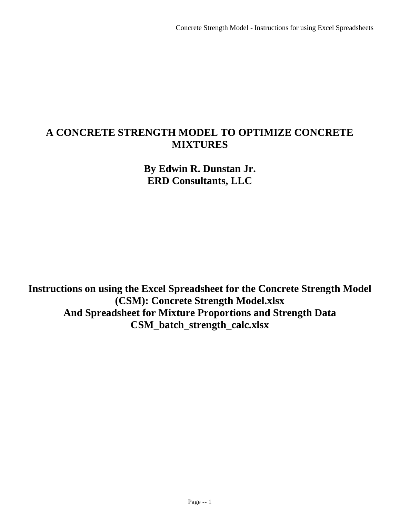# **A CONCRETE STRENGTH MODEL TO OPTIMIZE CONCRETE MIXTURES**

**By Edwin R. Dunstan Jr. ERD Consultants, LLC**

**Instructions on using the Excel Spreadsheet for the Concrete Strength Model (CSM): Concrete Strength Model.xlsx And Spreadsheet for Mixture Proportions and Strength Data CSM\_batch\_strength\_calc.xlsx**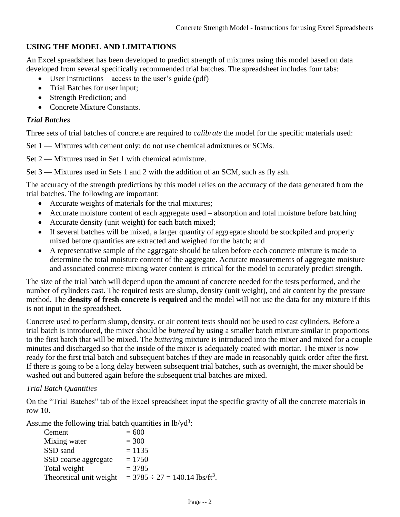# **USING THE MODEL AND LIMITATIONS**

An Excel spreadsheet has been developed to predict strength of mixtures using this model based on data developed from several specifically recommended trial batches. The spreadsheet includes four tabs:

- User Instructions access to the user's guide  $(\text{pdf})$
- Trial Batches for user input;
- Strength Prediction; and
- Concrete Mixture Constants.

#### *Trial Batches*

Three sets of trial batches of concrete are required to *calibrate* the model for the specific materials used:

Set 1 — Mixtures with cement only; do not use chemical admixtures or SCMs.

Set 2 — Mixtures used in Set 1 with chemical admixture.

Set 3 — Mixtures used in Sets 1 and 2 with the addition of an SCM, such as fly ash.

The accuracy of the strength predictions by this model relies on the accuracy of the data generated from the trial batches. The following are important:

- Accurate weights of materials for the trial mixtures;
- Accurate moisture content of each aggregate used absorption and total moisture before batching
- Accurate density (unit weight) for each batch mixed;
- If several batches will be mixed, a larger quantity of aggregate should be stockpiled and properly mixed before quantities are extracted and weighed for the batch; and
- A representative sample of the aggregate should be taken before each concrete mixture is made to determine the total moisture content of the aggregate. Accurate measurements of aggregate moisture and associated concrete mixing water content is critical for the model to accurately predict strength.

The size of the trial batch will depend upon the amount of concrete needed for the tests performed, and the number of cylinders cast. The required tests are slump, density (unit weight), and air content by the pressure method. The **density of fresh concrete is required** and the model will not use the data for any mixture if this is not input in the spreadsheet.

Concrete used to perform slump, density, or air content tests should not be used to cast cylinders. Before a trial batch is introduced, the mixer should be *buttered* by using a smaller batch mixture similar in proportions to the first batch that will be mixed. The *butterin*g mixture is introduced into the mixer and mixed for a couple minutes and discharged so that the inside of the mixer is adequately coated with mortar. The mixer is now ready for the first trial batch and subsequent batches if they are made in reasonably quick order after the first. If there is going to be a long delay between subsequent trial batches, such as overnight, the mixer should be washed out and buttered again before the subsequent trial batches are mixed.

### *Trial Batch Quantities*

On the "Trial Batches" tab of the Excel spreadsheet input the specific gravity of all the concrete materials in row 10.

Assume the following trial batch quantities in  $lb/yd^3$ :

| Cement                  | $= 600$                                           |
|-------------------------|---------------------------------------------------|
| Mixing water            | $= 300$                                           |
| SSD sand                | $= 1135$                                          |
| SSD coarse aggregate    | $= 1750$                                          |
| Total weight            | $= 3785$                                          |
| Theoretical unit weight | $=$ 3785 $\div$ 27 = 140.14 lbs/ft <sup>3</sup> . |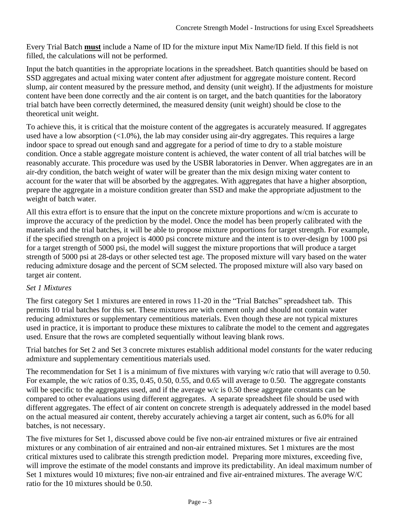Every Trial Batch **must** include a Name of ID for the mixture input Mix Name/ID field. If this field is not filled, the calculations will not be performed.

Input the batch quantities in the appropriate locations in the spreadsheet. Batch quantities should be based on SSD aggregates and actual mixing water content after adjustment for aggregate moisture content. Record slump, air content measured by the pressure method, and density (unit weight). If the adjustments for moisture content have been done correctly and the air content is on target, and the batch quantities for the laboratory trial batch have been correctly determined, the measured density (unit weight) should be close to the theoretical unit weight.

To achieve this, it is critical that the moisture content of the aggregates is accurately measured. If aggregates used have a low absorption  $\langle$  (1.0%), the lab may consider using air-dry aggregates. This requires a large indoor space to spread out enough sand and aggregate for a period of time to dry to a stable moisture condition. Once a stable aggregate moisture content is achieved, the water content of all trial batches will be reasonably accurate. This procedure was used by the USBR laboratories in Denver. When aggregates are in an air-dry condition, the batch weight of water will be greater than the mix design mixing water content to account for the water that will be absorbed by the aggregates. With aggregates that have a higher absorption, prepare the aggregate in a moisture condition greater than SSD and make the appropriate adjustment to the weight of batch water.

All this extra effort is to ensure that the input on the concrete mixture proportions and w/cm is accurate to improve the accuracy of the prediction by the model. Once the model has been properly calibrated with the materials and the trial batches, it will be able to propose mixture proportions for target strength. For example, if the specified strength on a project is 4000 psi concrete mixture and the intent is to over-design by 1000 psi for a target strength of 5000 psi, the model will suggest the mixture proportions that will produce a target strength of 5000 psi at 28-days or other selected test age. The proposed mixture will vary based on the water reducing admixture dosage and the percent of SCM selected. The proposed mixture will also vary based on target air content.

### *Set 1 Mixtures*

The first category Set 1 mixtures are entered in rows 11-20 in the "Trial Batches" spreadsheet tab. This permits 10 trial batches for this set. These mixtures are with cement only and should not contain water reducing admixtures or supplementary cementitious materials. Even though these are not typical mixtures used in practice, it is important to produce these mixtures to calibrate the model to the cement and aggregates used. Ensure that the rows are completed sequentially without leaving blank rows.

Trial batches for Set 2 and Set 3 concrete mixtures establish additional model *constants* for the water reducing admixture and supplementary cementitious materials used.

The recommendation for Set 1 is a minimum of five mixtures with varying w/c ratio that will average to 0.50. For example, the w/c ratios of 0.35, 0.45, 0.50, 0.55, and 0.65 will average to 0.50. The aggregate constants will be specific to the aggregates used, and if the average w/c is 0.50 these aggregate constants can be compared to other evaluations using different aggregates. A separate spreadsheet file should be used with different aggregates. The effect of air content on concrete strength is adequately addressed in the model based on the actual measured air content, thereby accurately achieving a target air content, such as 6.0% for all batches, is not necessary.

The five mixtures for Set 1, discussed above could be five non-air entrained mixtures or five air entrained mixtures or any combination of air entrained and non-air entrained mixtures. Set 1 mixtures are the most critical mixtures used to calibrate this strength prediction model. Preparing more mixtures, exceeding five, will improve the estimate of the model constants and improve its predictability. An ideal maximum number of Set 1 mixtures would 10 mixtures; five non-air entrained and five air-entrained mixtures. The average W/C ratio for the 10 mixtures should be 0.50.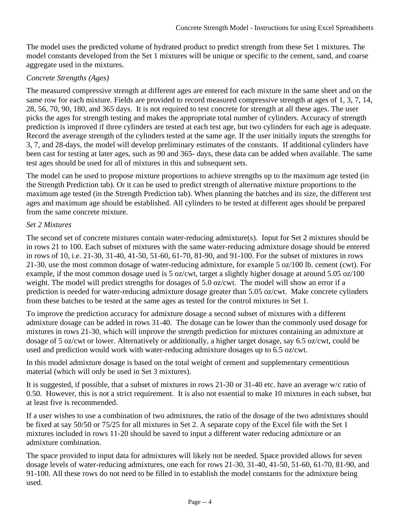The model uses the predicted volume of hydrated product to predict strength from these Set 1 mixtures. The model constants developed from the Set 1 mixtures will be unique or specific to the cement, sand, and coarse aggregate used in the mixtures.

# *Concrete Strengths (Ages)*

The measured compressive strength at different ages are entered for each mixture in the same sheet and on the same row for each mixture. Fields are provided to record measured compressive strength at ages of 1, 3, 7, 14, 28, 56, 70, 90, 180, and 365 days. It is not required to test concrete for strength at all these ages. The user picks the ages for strength testing and makes the appropriate total number of cylinders. Accuracy of strength prediction is improved if three cylinders are tested at each test age, but two cylinders for each age is adequate. Record the average strength of the cylinders tested at the same age. If the user initially inputs the strengths for 3, 7, and 28-days, the model will develop preliminary estimates of the constants. If additional cylinders have been cast for testing at later ages, such as 90 and 365- days, these data can be added when available. The same test ages should be used for all of mixtures in this and subsequent sets.

The model can be used to propose mixture proportions to achieve strengths up to the maximum age tested (in the Strength Prediction tab). Or it can be used to predict strength of alternative mixture proportions to the maximum age tested (in the Strength Prediction tab). When planning the batches and its size, the different test ages and maximum age should be established. All cylinders to be tested at different ages should be prepared from the same concrete mixture.

# *Set 2 Mixtures*

The second set of concrete mixtures contain water-reducing admixture(s). Input for Set 2 mixtures should be in rows 21 to 100. Each subset of mixtures with the same water-reducing admixture dosage should be entered in rows of 10, i.e. 21-30, 31-40, 41-50, 51-60, 61-70, 81-90, and 91-100. For the subset of mixtures in rows 21-30, use the most common dosage of water-reducing admixture, for example 5 oz/100 lb. cement (cwt). For example, if the most common dosage used is 5 oz/cwt, target a slightly higher dosage at around 5.05 oz/100 weight. The model will predict strengths for dosages of 5.0 oz/cwt. The model will show an error if a prediction is needed for water-reducing admixture dosage greater than 5.05 oz/cwt. Make concrete cylinders from these batches to be tested at the same ages as tested for the control mixtures in Set 1.

To improve the prediction accuracy for admixture dosage a second subset of mixtures with a different admixture dosage can be added in rows 31-40. The dosage can be lower than the commonly used dosage for mixtures in rows 21-30, which will improve the strength prediction for mixtures containing an admixture at dosage of 5 oz/cwt or lower. Alternatively or additionally, a higher target dosage, say 6.5 oz/cwt, could be used and prediction would work with water-reducing admixture dosages up to 6.5 oz/cwt.

In this model admixture dosage is based on the total weight of cement and supplementary cementitious material (which will only be used in Set 3 mixtures).

It is suggested, if possible, that a subset of mixtures in rows 21-30 or 31-40 etc. have an average w/c ratio of 0.50. However, this is not a strict requirement. It is also not essential to make 10 mixtures in each subset, but at least five is recommended.

If a user wishes to use a combination of two admixtures, the ratio of the dosage of the two admixtures should be fixed at say 50/50 or 75/25 for all mixtures in Set 2. A separate copy of the Excel file with the Set 1 mixtures included in rows 11-20 should be saved to input a different water reducing admixture or an admixture combination.

The space provided to input data for admixtures will likely not be needed. Space provided allows for seven dosage levels of water-reducing admixtures, one each for rows 21-30, 31-40, 41-50, 51-60, 61-70, 81-90, and 91-100. All these rows do not need to be filled in to establish the model constants for the admixture being used.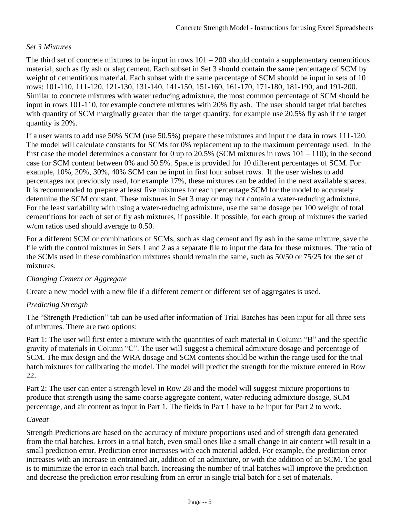### *Set 3 Mixtures*

The third set of concrete mixtures to be input in rows  $101 - 200$  should contain a supplementary cementitious material, such as fly ash or slag cement. Each subset in Set 3 should contain the same percentage of SCM by weight of cementitious material. Each subset with the same percentage of SCM should be input in sets of 10 rows: 101-110, 111-120, 121-130, 131-140, 141-150, 151-160, 161-170, 171-180, 181-190, and 191-200. Similar to concrete mixtures with water reducing admixture, the most common percentage of SCM should be input in rows 101-110, for example concrete mixtures with 20% fly ash. The user should target trial batches with quantity of SCM marginally greater than the target quantity, for example use 20.5% fly ash if the target quantity is 20%.

If a user wants to add use 50% SCM (use 50.5%) prepare these mixtures and input the data in rows 111-120. The model will calculate constants for SCMs for 0% replacement up to the maximum percentage used. In the first case the model determines a constant for 0 up to 20.5% (SCM mixtures in rows  $101 - 110$ ); in the second case for SCM content between 0% and 50.5%. Space is provided for 10 different percentages of SCM. For example, 10%, 20%, 30%, 40% SCM can be input in first four subset rows. If the user wishes to add percentages not previously used, for example 17%, these mixtures can be added in the next available spaces. It is recommended to prepare at least five mixtures for each percentage SCM for the model to accurately determine the SCM constant. These mixtures in Set 3 may or may not contain a water-reducing admixture. For the least variability with using a water-reducing admixture, use the same dosage per 100 weight of total cementitious for each of set of fly ash mixtures, if possible. If possible, for each group of mixtures the varied w/cm ratios used should average to 0.50.

For a different SCM or combinations of SCMs, such as slag cement and fly ash in the same mixture, save the file with the control mixtures in Sets 1 and 2 as a separate file to input the data for these mixtures. The ratio of the SCMs used in these combination mixtures should remain the same, such as 50/50 or 75/25 for the set of mixtures.

### *Changing Cement or Aggregate*

Create a new model with a new file if a different cement or different set of aggregates is used.

### *Predicting Strength*

The "Strength Prediction" tab can be used after information of Trial Batches has been input for all three sets of mixtures. There are two options:

Part 1: The user will first enter a mixture with the quantities of each material in Column "B" and the specific gravity of materials in Column "C". The user will suggest a chemical admixture dosage and percentage of SCM. The mix design and the WRA dosage and SCM contents should be within the range used for the trial batch mixtures for calibrating the model. The model will predict the strength for the mixture entered in Row 22.

Part 2: The user can enter a strength level in Row 28 and the model will suggest mixture proportions to produce that strength using the same coarse aggregate content, water-reducing admixture dosage, SCM percentage, and air content as input in Part 1. The fields in Part 1 have to be input for Part 2 to work.

#### *Caveat*

Strength Predictions are based on the accuracy of mixture proportions used and of strength data generated from the trial batches. Errors in a trial batch, even small ones like a small change in air content will result in a small prediction error. Prediction error increases with each material added. For example, the prediction error increases with an increase in entrained air, addition of an admixture, or with the addition of an SCM. The goal is to minimize the error in each trial batch. Increasing the number of trial batches will improve the prediction and decrease the prediction error resulting from an error in single trial batch for a set of materials.